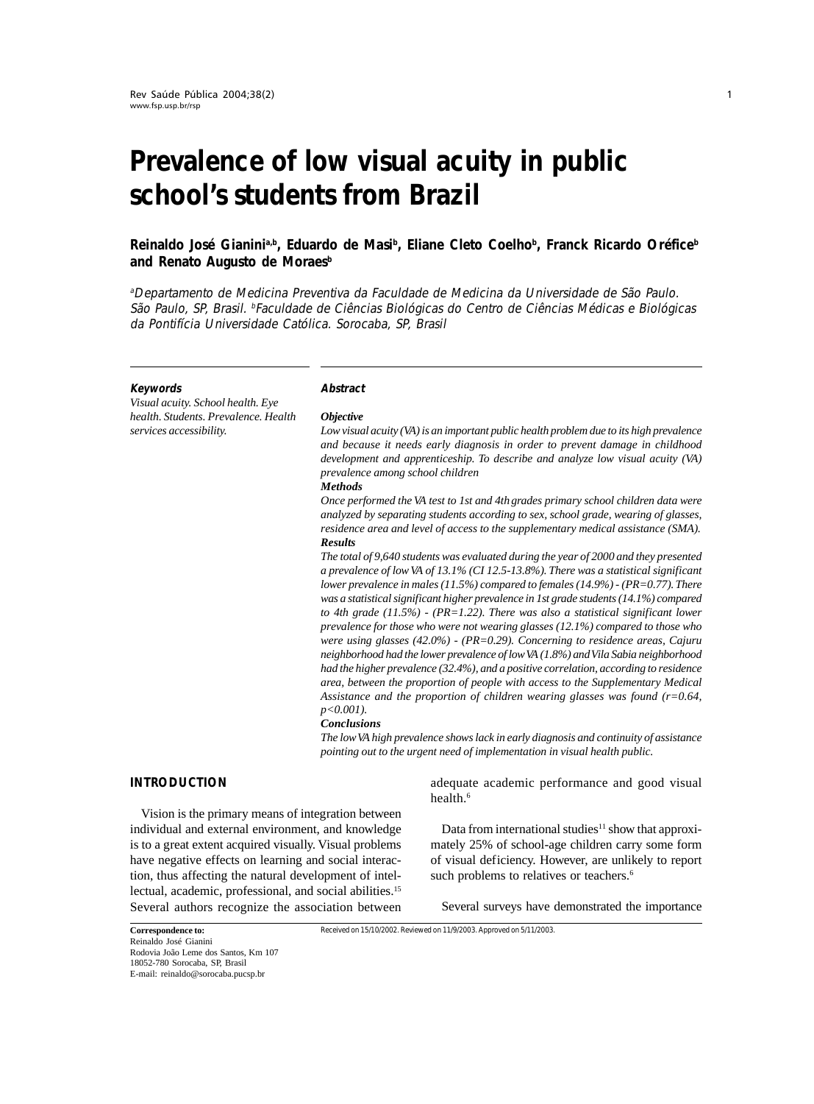# **Prevalence of low visual acuity in public school's students from Brazil**

# **Reinaldo José Gianinia,b, Eduardo de Masib , Eliane Cleto Coelhob , Franck Ricardo Oréficeb** and Renato Augusto de Moraes<sup>b</sup>

<sup>a</sup>Departamento de Medicina Preventiva da Faculdade de Medicina da Universidade de São Paulo. São Paulo, SP, Brasil. <sup>b</sup>Faculdade de Ciências Biológicas do Centro de Ciências Médicas e Biológicas da Pontifícia Universidade Católica. Sorocaba, SP, Brasil

#### **Keywords**

*Visual acuity. School health. Eye health. Students. Prevalence. Health services accessibility.*

#### **Abstract**

#### *Objective*

*Low visual acuity (VA) is an important public health problem due to its high prevalence and because it needs early diagnosis in order to prevent damage in childhood development and apprenticeship. To describe and analyze low visual acuity (VA) prevalence among school children*

#### *Methods*

*Once performed the VA test to 1st and 4th grades primary school children data were analyzed by separating students according to sex, school grade, wearing of glasses, residence area and level of access to the supplementary medical assistance (SMA). Results*

*The total of 9,640 students was evaluated during the year of 2000 and they presented a prevalence of low VA of 13.1% (CI 12.5-13.8%). There was a statistical significant lower prevalence in males (11.5%) compared to females (14.9%) - (PR=0.77). There was a statistical significant higher prevalence in 1st grade students (14.1%) compared to 4th grade (11.5%) - (PR=1.22). There was also a statistical significant lower prevalence for those who were not wearing glasses (12.1%) compared to those who were using glasses (42.0%) - (PR=0.29). Concerning to residence areas, Cajuru neighborhood had the lower prevalence of low VA (1.8%) and Vila Sabia neighborhood had the higher prevalence (32.4%), and a positive correlation, according to residence area, between the proportion of people with access to the Supplementary Medical Assistance and the proportion of children wearing glasses was found (r=0.64, p<0.001).*

#### *Conclusions*

*The low VA high prevalence shows lack in early diagnosis and continuity of assistance pointing out to the urgent need of implementation in visual health public.*

#### **INTRODUCTION**

Vision is the primary means of integration between individual and external environment, and knowledge is to a great extent acquired visually. Visual problems have negative effects on learning and social interaction, thus affecting the natural development of intellectual, academic, professional, and social abilities.15 Several authors recognize the association between

adequate academic performance and good visual health.<sup>6</sup>

Data from international studies<sup>11</sup> show that approximately 25% of school-age children carry some form of visual deficiency. However, are unlikely to report such problems to relatives or teachers.<sup>6</sup>

Several surveys have demonstrated the importance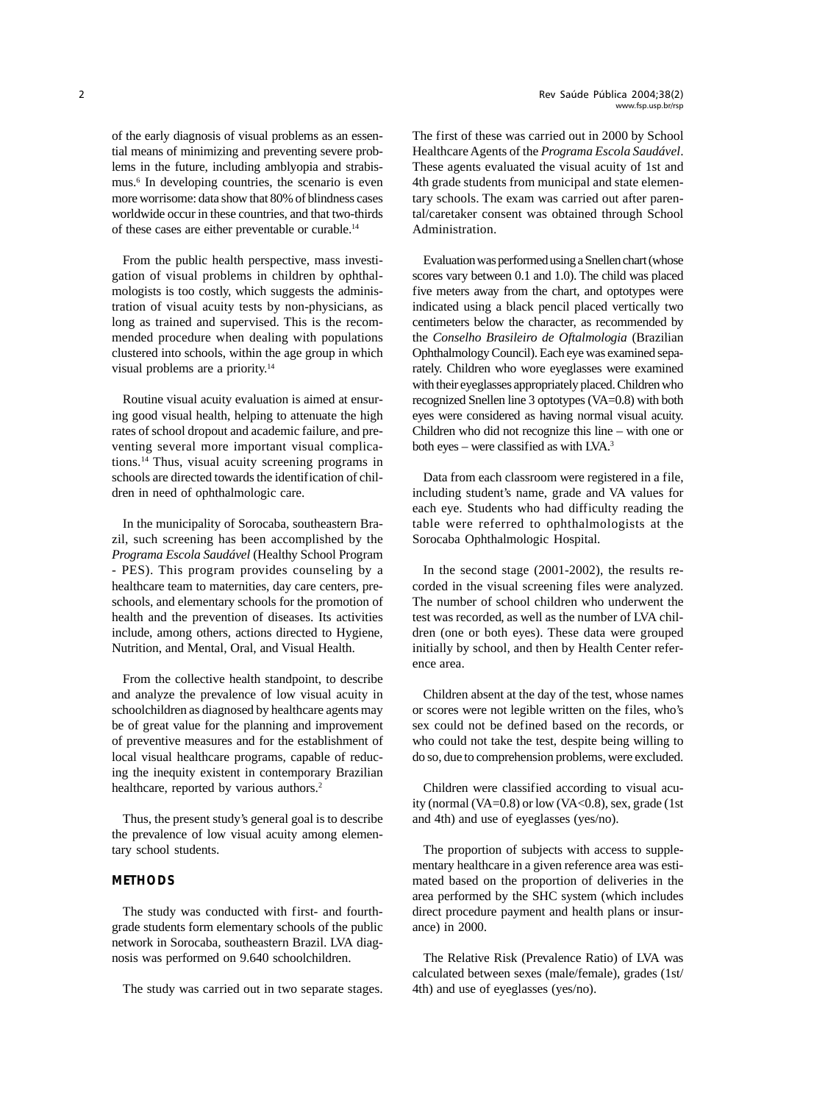of the early diagnosis of visual problems as an essential means of minimizing and preventing severe problems in the future, including amblyopia and strabismus.6 In developing countries, the scenario is even more worrisome: data show that 80% of blindness cases worldwide occur in these countries, and that two-thirds of these cases are either preventable or curable.14

From the public health perspective, mass investigation of visual problems in children by ophthalmologists is too costly, which suggests the administration of visual acuity tests by non-physicians, as long as trained and supervised. This is the recommended procedure when dealing with populations clustered into schools, within the age group in which visual problems are a priority.14

Routine visual acuity evaluation is aimed at ensuring good visual health, helping to attenuate the high rates of school dropout and academic failure, and preventing several more important visual complications.14 Thus, visual acuity screening programs in schools are directed towards the identification of children in need of ophthalmologic care.

In the municipality of Sorocaba, southeastern Brazil, such screening has been accomplished by the *Programa Escola Saudável* (Healthy School Program - PES). This program provides counseling by a healthcare team to maternities, day care centers, preschools, and elementary schools for the promotion of health and the prevention of diseases. Its activities include, among others, actions directed to Hygiene, Nutrition, and Mental, Oral, and Visual Health.

From the collective health standpoint, to describe and analyze the prevalence of low visual acuity in schoolchildren as diagnosed by healthcare agents may be of great value for the planning and improvement of preventive measures and for the establishment of local visual healthcare programs, capable of reducing the inequity existent in contemporary Brazilian healthcare, reported by various authors.<sup>2</sup>

Thus, the present study's general goal is to describe the prevalence of low visual acuity among elementary school students.

# **METHODS**

The study was conducted with first- and fourthgrade students form elementary schools of the public network in Sorocaba, southeastern Brazil. LVA diagnosis was performed on 9.640 schoolchildren.

The study was carried out in two separate stages.

The first of these was carried out in 2000 by School Healthcare Agents of the *Programa Escola Saudável*. These agents evaluated the visual acuity of 1st and 4th grade students from municipal and state elementary schools. The exam was carried out after parental/caretaker consent was obtained through School Administration.

Evaluation was performed using a Snellen chart (whose scores vary between 0.1 and 1.0). The child was placed five meters away from the chart, and optotypes were indicated using a black pencil placed vertically two centimeters below the character, as recommended by the *Conselho Brasileiro de Oftalmologia* (Brazilian Ophthalmology Council). Each eye was examined separately. Children who wore eyeglasses were examined with their eyeglasses appropriately placed. Children who recognized Snellen line 3 optotypes (VA=0.8) with both eyes were considered as having normal visual acuity. Children who did not recognize this line – with one or both eyes – were classified as with LVA.<sup>3</sup>

Data from each classroom were registered in a file, including student's name, grade and VA values for each eye. Students who had difficulty reading the table were referred to ophthalmologists at the Sorocaba Ophthalmologic Hospital.

In the second stage (2001-2002), the results recorded in the visual screening files were analyzed. The number of school children who underwent the test was recorded, as well as the number of LVA children (one or both eyes). These data were grouped initially by school, and then by Health Center reference area.

Children absent at the day of the test, whose names or scores were not legible written on the files, who's sex could not be defined based on the records, or who could not take the test, despite being willing to do so, due to comprehension problems, were excluded.

Children were classified according to visual acuity (normal (VA= $0.8$ ) or low (VA< $0.8$ ), sex, grade (1st) and 4th) and use of eyeglasses (yes/no).

The proportion of subjects with access to supplementary healthcare in a given reference area was estimated based on the proportion of deliveries in the area performed by the SHC system (which includes direct procedure payment and health plans or insurance) in 2000.

The Relative Risk (Prevalence Ratio) of LVA was calculated between sexes (male/female), grades (1st/ 4th) and use of eyeglasses (yes/no).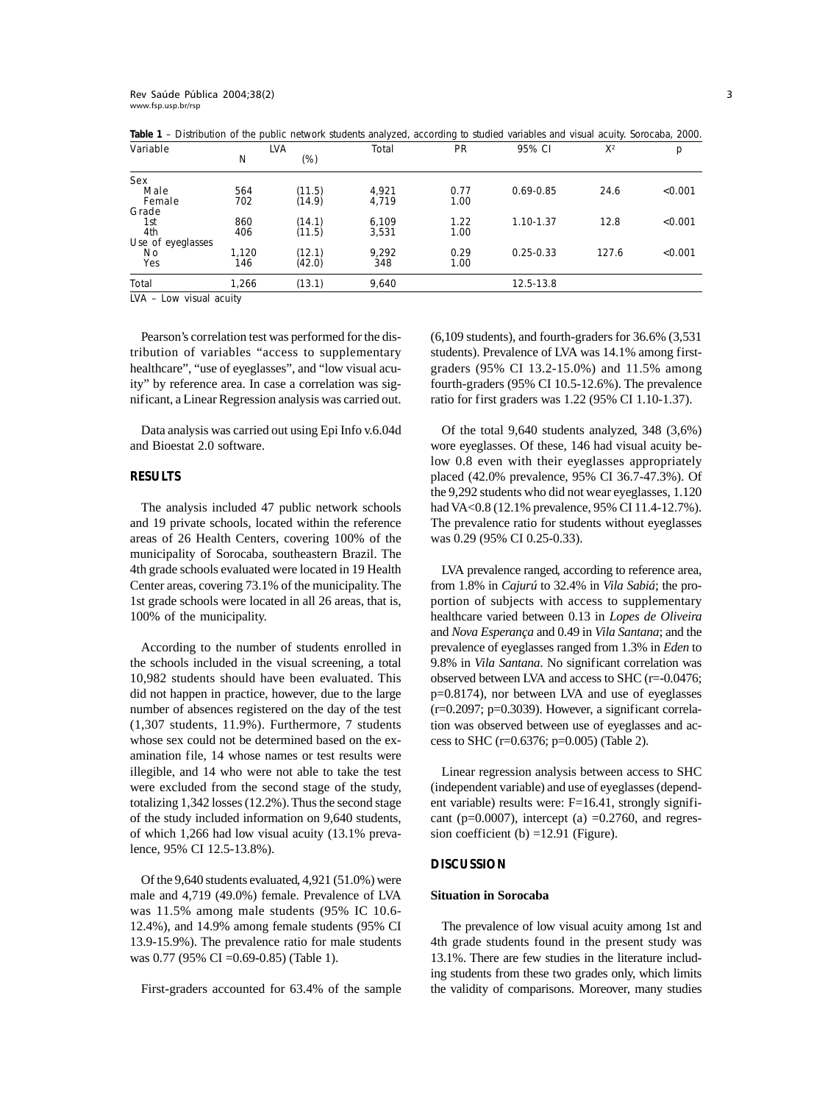| Variable          | <b>LVA</b> |        | Total | PR   | 95% CI        | $X^2$ | р       |
|-------------------|------------|--------|-------|------|---------------|-------|---------|
|                   | N          | $(\%)$ |       |      |               |       |         |
| Sex               |            |        |       |      |               |       |         |
| Male              | 564        | (11.5) | 4,921 | 0.77 | $0.69 - 0.85$ | 24.6  | < 0.001 |
| Female            | 702        | (14.9) | 4,719 | 1.00 |               |       |         |
| Grade             |            |        |       |      |               |       |         |
| 1st               | 860        | (14.1) | 6,109 | 1.22 | 1.10-1.37     | 12.8  | < 0.001 |
| 4th               | 406        | (11.5) | 3,531 | 1.00 |               |       |         |
| Use of eyeglasses |            |        |       |      |               |       |         |
| N <sub>0</sub>    | 1.120      | (12.1) | 9.292 | 0.29 | $0.25 - 0.33$ | 127.6 | < 0.001 |
| Yes               | 146        | (42.0) | 348   | 1.00 |               |       |         |
| Total             | 1,266      | (13.1) | 9,640 |      | 12.5-13.8     |       |         |

**Table 1** – Distribution of the public network students analyzed, according to studied variables and visual acuity. Sorocaba, 2000.

LVA – Low visual acuity

Pearson's correlation test was performed for the distribution of variables "access to supplementary healthcare", "use of eyeglasses", and "low visual acuity" by reference area. In case a correlation was significant, a Linear Regression analysis was carried out.

Data analysis was carried out using Epi Info v.6.04d and Bioestat 2.0 software.

#### **RESULTS**

The analysis included 47 public network schools and 19 private schools, located within the reference areas of 26 Health Centers, covering 100% of the municipality of Sorocaba, southeastern Brazil. The 4th grade schools evaluated were located in 19 Health Center areas, covering 73.1% of the municipality. The 1st grade schools were located in all 26 areas, that is, 100% of the municipality.

According to the number of students enrolled in the schools included in the visual screening, a total 10,982 students should have been evaluated. This did not happen in practice, however, due to the large number of absences registered on the day of the test (1,307 students, 11.9%). Furthermore, 7 students whose sex could not be determined based on the examination file, 14 whose names or test results were illegible, and 14 who were not able to take the test were excluded from the second stage of the study, totalizing 1,342 losses (12.2%). Thus the second stage of the study included information on 9,640 students, of which 1,266 had low visual acuity (13.1% prevalence, 95% CI 12.5-13.8%).

Of the 9,640 students evaluated, 4,921 (51.0%) were male and 4,719 (49.0%) female. Prevalence of LVA was 11.5% among male students (95% IC 10.6- 12.4%), and 14.9% among female students (95% CI 13.9-15.9%). The prevalence ratio for male students was 0.77 (95% CI =0.69-0.85) (Table 1).

First-graders accounted for 63.4% of the sample

(6,109 students), and fourth-graders for 36.6% (3,531 students). Prevalence of LVA was 14.1% among firstgraders (95% CI 13.2-15.0%) and 11.5% among fourth-graders (95% CI 10.5-12.6%). The prevalence ratio for first graders was 1.22 (95% CI 1.10-1.37).

Of the total 9,640 students analyzed, 348 (3,6%) wore eyeglasses. Of these, 146 had visual acuity below 0.8 even with their eyeglasses appropriately placed (42.0% prevalence, 95% CI 36.7-47.3%). Of the 9,292 students who did not wear eyeglasses, 1.120 had VA<0.8 (12.1% prevalence, 95% CI 11.4-12.7%). The prevalence ratio for students without eyeglasses was 0.29 (95% CI 0.25-0.33).

LVA prevalence ranged, according to reference area, from 1.8% in *Cajurú* to 32.4% in *Vila Sabiá*; the proportion of subjects with access to supplementary healthcare varied between 0.13 in *Lopes de Oliveira* and *Nova Esperança* and 0.49 in *Vila Santana*; and the prevalence of eyeglasses ranged from 1.3% in *Eden* to 9.8% in *Vila Santana*. No significant correlation was observed between LVA and access to SHC (r=-0.0476; p=0.8174), nor between LVA and use of eyeglasses  $(r=0.2097; p=0.3039)$ . However, a significant correlation was observed between use of eyeglasses and access to SHC (r=0.6376; p=0.005) (Table 2).

Linear regression analysis between access to SHC (independent variable) and use of eyeglasses (dependent variable) results were:  $F=16.41$ , strongly significant ( $p=0.0007$ ), intercept (a)  $=0.2760$ , and regression coefficient (b) =12.91 (Figure).

## **DISCUSSION**

### **Situation in Sorocaba**

The prevalence of low visual acuity among 1st and 4th grade students found in the present study was 13.1%. There are few studies in the literature including students from these two grades only, which limits the validity of comparisons. Moreover, many studies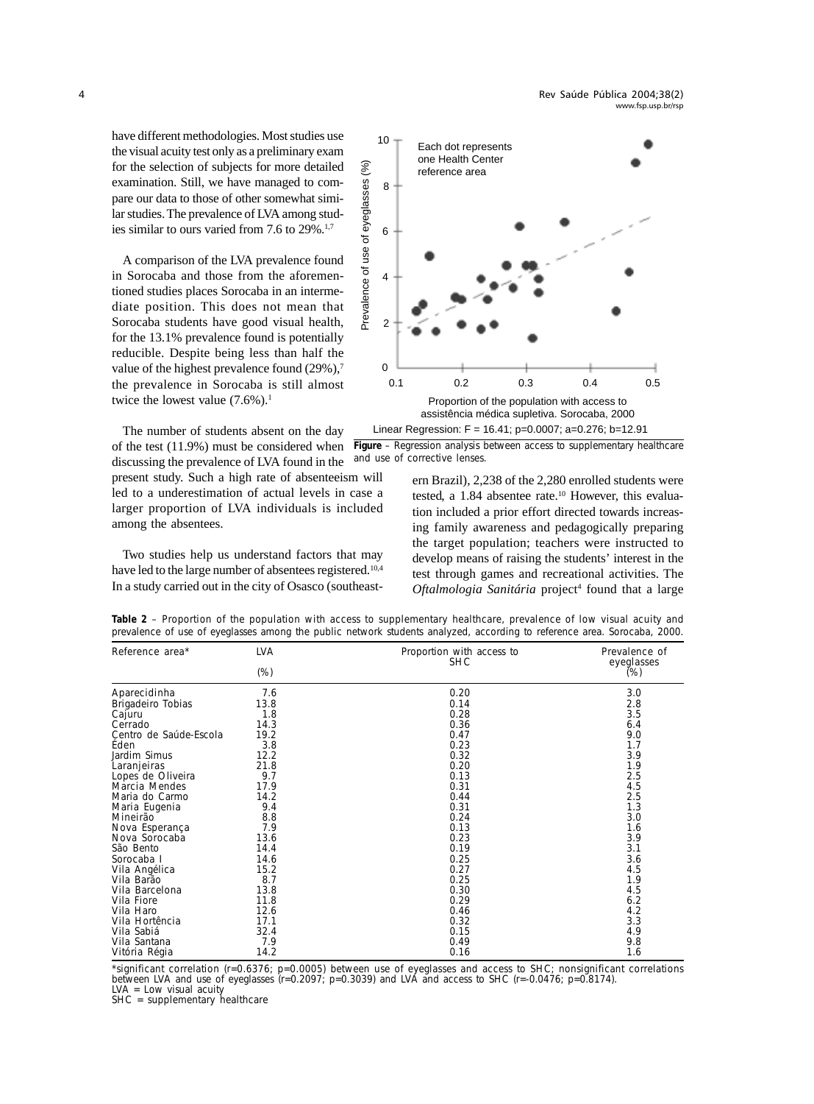have different methodologies. Most studies use the visual acuity test only as a preliminary exam for the selection of subjects for more detailed examination. Still, we have managed to compare our data to those of other somewhat similar studies. The prevalence of LVA among studies similar to ours varied from 7.6 to 29%.1,7

A comparison of the LVA prevalence found in Sorocaba and those from the aforementioned studies places Sorocaba in an intermediate position. This does not mean that Sorocaba students have good visual health, for the 13.1% prevalence found is potentially reducible. Despite being less than half the value of the highest prevalence found (29%),<sup>7</sup> the prevalence in Sorocaba is still almost twice the lowest value  $(7.6\%)$ .<sup>1</sup>

The number of students absent on the day of the test (11.9%) must be considered when discussing the prevalence of LVA found in the

present study. Such a high rate of absenteeism will led to a underestimation of actual levels in case a larger proportion of LVA individuals is included among the absentees.

Two studies help us understand factors that may have led to the large number of absentees registered.<sup>10,4</sup> In a study carried out in the city of Osasco (southeast-



**Figure** – Regression analysis between access to supplementary healthcare and use of corrective lenses.

ern Brazil), 2,238 of the 2,280 enrolled students were tested, a  $1.84$  absentee rate.<sup>10</sup> However, this evaluation included a prior effort directed towards increasing family awareness and pedagogically preparing the target population; teachers were instructed to develop means of raising the students' interest in the test through games and recreational activities. The Oftalmologia Sanitária project<sup>4</sup> found that a large

| Reference area*        | <b>LVA</b><br>$(\%)$ | Proportion with access to<br><b>SHC</b> | Prevalence of<br>eyeglasses<br>(%) |
|------------------------|----------------------|-----------------------------------------|------------------------------------|
| Aparecidinha           | 7.6                  | 0.20                                    | 3.0                                |
| Brigadeiro Tobias      | 13.8                 | 0.14                                    | 2.8                                |
| Cajuru                 | 1.8                  | 0.28                                    | 3.5                                |
| Cerrado                | 14.3                 | 0.36                                    | 6.4                                |
| Centro de Saúde-Escola | 19.2                 | 0.47                                    | 9.0                                |
| Éden                   | 3.8                  | 0.23                                    | 1.7                                |
| Jardim Simus           | 12.2                 | 0.32                                    | 3.9                                |
| Laranjeiras            | 21.8                 | 0.20                                    | 1.9                                |
| Lopes de Oliveira      | 9.7                  | 0.13                                    | 2.5                                |
| Marcia Mendes          | 17.9                 | 0.31                                    | 4.5                                |
| Maria do Carmo         | 14.2                 | 0.44                                    | 2.5                                |
| Maria Eugenia          | 9.4                  | 0.31                                    | 1.3                                |
| Mineirão               | 8.8                  | 0.24                                    | 3.0                                |
| Nova Esperança         | 7.9                  | 0.13                                    | 1.6                                |
| Nova Sorocaba          | 13.6                 | 0.23                                    | 3.9                                |
| São Bento              | 14.4                 | 0.19                                    | 3.1                                |
| Sorocaba I             | 14.6                 | 0.25                                    | 3.6                                |
| Vila Angélica          | 15.2                 | 0.27                                    | 4.5                                |
| Vila Barão             | 8.7                  | 0.25                                    | 1.9                                |
| Vila Barcelona         | 13.8                 | 0.30                                    | 4.5                                |
| Vila Fiore             | 11.8                 | 0.29                                    | 6.2                                |
| Vila Haro              | 12.6                 | 0.46                                    | 4.2                                |
| Vila Hortência         | 17.1                 | 0.32                                    | 3.3                                |
| Vila Sabiá             | 32.4                 | 0.15                                    | 4.9                                |
| Vila Santana           | 7.9                  | 0.49                                    | 9.8                                |
| Vitória Régia          | 14.2                 | 0.16                                    | 1.6                                |

**Table 2** – Proportion of the population with access to supplementary healthcare, prevalence of low visual acuity and prevalence of use of eyeglasses among the public network students analyzed, according to reference area. Sorocaba, 2000.

\*significant correlation (r=0.6376; p=0.0005) between use of eyeglasses and access to SHC; nonsignificant correlations between LVA and use of eyeglasses (r=0.2097; p=0.3039) and LVA and access to SHC (r=-0.0476; p=0.8174). LVA = Low visual acuity

SHC = supplementary healthcare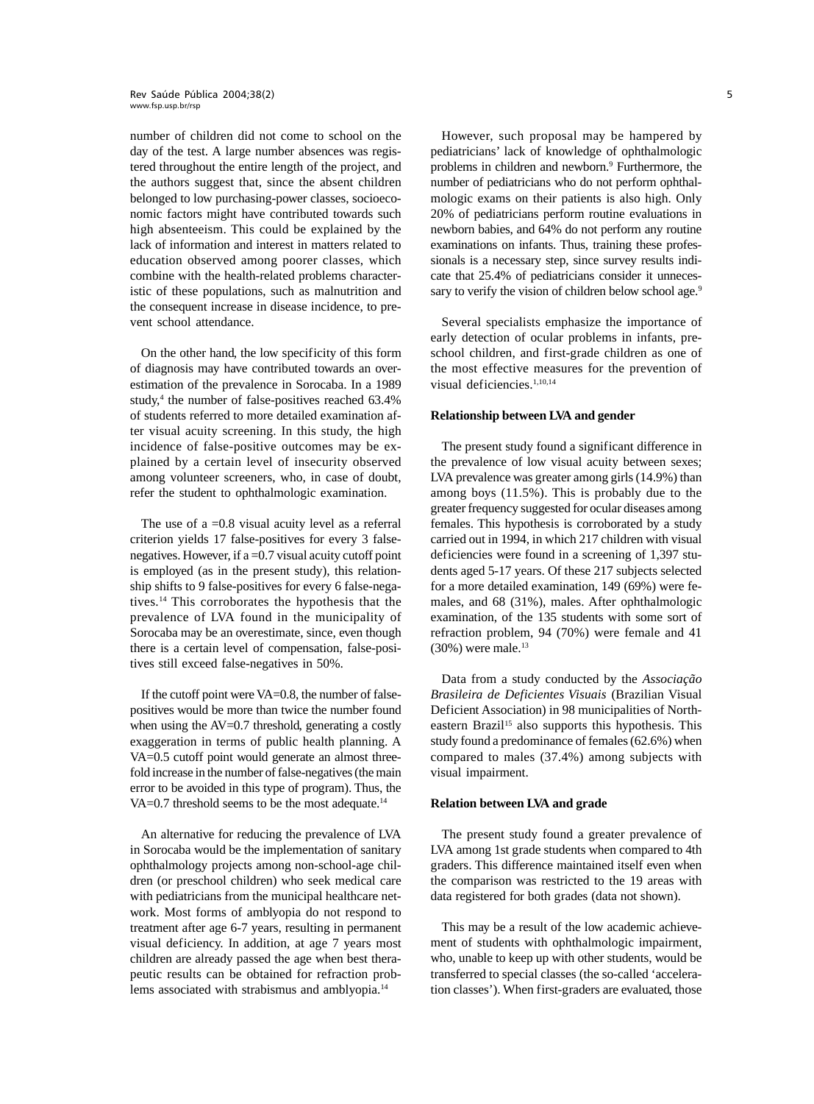#### - 
www.fsp.usp.br/rsp

number of children did not come to school on the day of the test. A large number absences was registered throughout the entire length of the project, and the authors suggest that, since the absent children belonged to low purchasing-power classes, socioeconomic factors might have contributed towards such high absenteeism. This could be explained by the lack of information and interest in matters related to education observed among poorer classes, which combine with the health-related problems characteristic of these populations, such as malnutrition and the consequent increase in disease incidence, to prevent school attendance.

On the other hand, the low specificity of this form of diagnosis may have contributed towards an overestimation of the prevalence in Sorocaba. In a 1989 study,<sup>4</sup> the number of false-positives reached 63.4% of students referred to more detailed examination after visual acuity screening. In this study, the high incidence of false-positive outcomes may be explained by a certain level of insecurity observed among volunteer screeners, who, in case of doubt, refer the student to ophthalmologic examination.

The use of  $a = 0.8$  visual acuity level as a referral criterion yields 17 false-positives for every 3 falsenegatives. However, if a =0.7 visual acuity cutoff point is employed (as in the present study), this relationship shifts to 9 false-positives for every 6 false-negatives.14 This corroborates the hypothesis that the prevalence of LVA found in the municipality of Sorocaba may be an overestimate, since, even though there is a certain level of compensation, false-positives still exceed false-negatives in 50%.

If the cutoff point were VA=0.8, the number of falsepositives would be more than twice the number found when using the AV=0.7 threshold, generating a costly exaggeration in terms of public health planning. A VA=0.5 cutoff point would generate an almost threefold increase in the number of false-negatives (the main error to be avoided in this type of program). Thus, the VA=0.7 threshold seems to be the most adequate.<sup>14</sup>

An alternative for reducing the prevalence of LVA in Sorocaba would be the implementation of sanitary ophthalmology projects among non-school-age children (or preschool children) who seek medical care with pediatricians from the municipal healthcare network. Most forms of amblyopia do not respond to treatment after age 6-7 years, resulting in permanent visual deficiency. In addition, at age 7 years most children are already passed the age when best therapeutic results can be obtained for refraction problems associated with strabismus and amblyopia.14

However, such proposal may be hampered by pediatricians' lack of knowledge of ophthalmologic problems in children and newborn.<sup>9</sup> Furthermore, the number of pediatricians who do not perform ophthalmologic exams on their patients is also high. Only 20% of pediatricians perform routine evaluations in newborn babies, and 64% do not perform any routine examinations on infants. Thus, training these professionals is a necessary step, since survey results indicate that 25.4% of pediatricians consider it unnecessary to verify the vision of children below school age.<sup>9</sup>

Several specialists emphasize the importance of early detection of ocular problems in infants, preschool children, and first-grade children as one of the most effective measures for the prevention of visual deficiencies.<sup>1,10,14</sup>

#### **Relationship between LVA and gender**

The present study found a significant difference in the prevalence of low visual acuity between sexes; LVA prevalence was greater among girls (14.9%) than among boys (11.5%). This is probably due to the greater frequency suggested for ocular diseases among females. This hypothesis is corroborated by a study carried out in 1994, in which 217 children with visual deficiencies were found in a screening of 1,397 students aged 5-17 years. Of these 217 subjects selected for a more detailed examination, 149 (69%) were females, and 68 (31%), males. After ophthalmologic examination, of the 135 students with some sort of refraction problem, 94 (70%) were female and 41  $(30\%)$  were male.<sup>13</sup>

Data from a study conducted by the *Associação Brasileira de Deficientes Visuais* (Brazilian Visual Deficient Association) in 98 municipalities of Northeastern Brazil<sup>15</sup> also supports this hypothesis. This study found a predominance of females (62.6%) when compared to males (37.4%) among subjects with visual impairment.

#### **Relation between LVA and grade**

The present study found a greater prevalence of LVA among 1st grade students when compared to 4th graders. This difference maintained itself even when the comparison was restricted to the 19 areas with data registered for both grades (data not shown).

This may be a result of the low academic achievement of students with ophthalmologic impairment, who, unable to keep up with other students, would be transferred to special classes (the so-called 'acceleration classes'). When first-graders are evaluated, those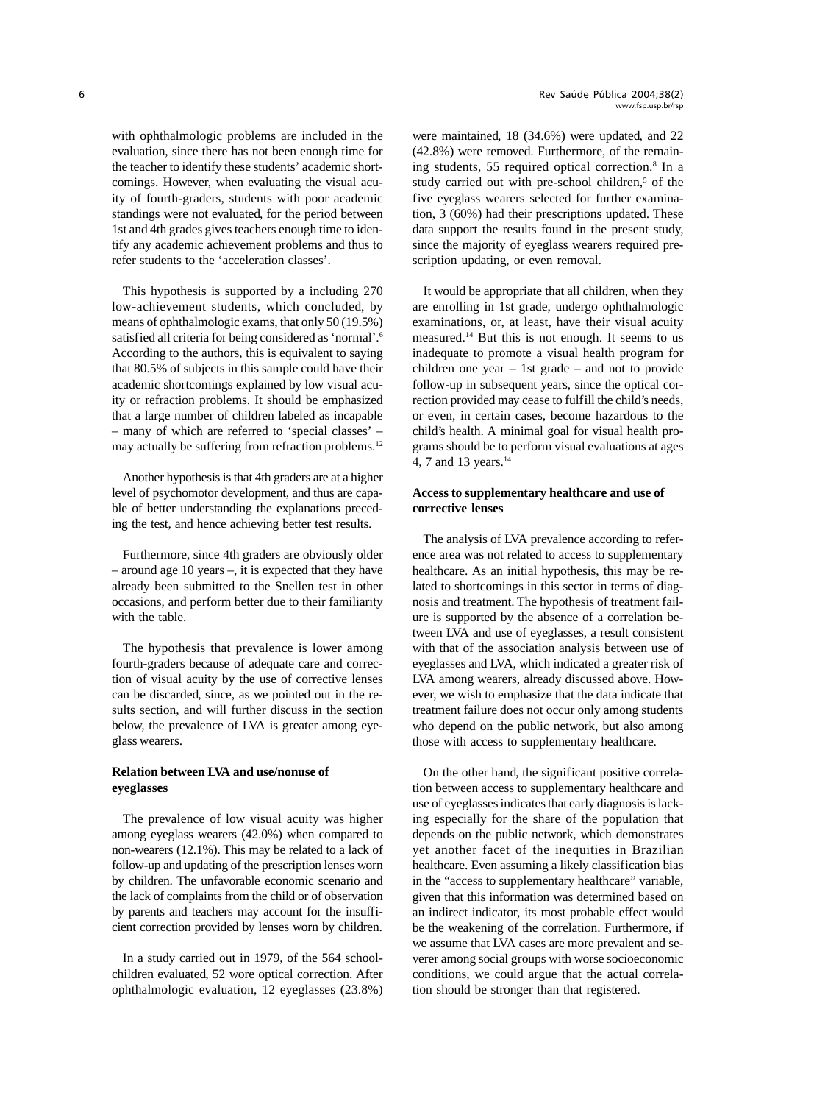with ophthalmologic problems are included in the evaluation, since there has not been enough time for the teacher to identify these students' academic shortcomings. However, when evaluating the visual acuity of fourth-graders, students with poor academic standings were not evaluated, for the period between 1st and 4th grades gives teachers enough time to identify any academic achievement problems and thus to refer students to the 'acceleration classes'.

This hypothesis is supported by a including 270 low-achievement students, which concluded, by means of ophthalmologic exams, that only 50 (19.5%) satisfied all criteria for being considered as 'normal'.6 According to the authors, this is equivalent to saying that 80.5% of subjects in this sample could have their academic shortcomings explained by low visual acuity or refraction problems. It should be emphasized that a large number of children labeled as incapable – many of which are referred to 'special classes' – may actually be suffering from refraction problems.<sup>12</sup>

Another hypothesis is that 4th graders are at a higher level of psychomotor development, and thus are capable of better understanding the explanations preceding the test, and hence achieving better test results.

Furthermore, since 4th graders are obviously older – around age 10 years –, it is expected that they have already been submitted to the Snellen test in other occasions, and perform better due to their familiarity with the table.

The hypothesis that prevalence is lower among fourth-graders because of adequate care and correction of visual acuity by the use of corrective lenses can be discarded, since, as we pointed out in the results section, and will further discuss in the section below, the prevalence of LVA is greater among eyeglass wearers.

## **Relation between LVA and use/nonuse of eyeglasses**

The prevalence of low visual acuity was higher among eyeglass wearers (42.0%) when compared to non-wearers (12.1%). This may be related to a lack of follow-up and updating of the prescription lenses worn by children. The unfavorable economic scenario and the lack of complaints from the child or of observation by parents and teachers may account for the insufficient correction provided by lenses worn by children.

In a study carried out in 1979, of the 564 schoolchildren evaluated, 52 wore optical correction. After ophthalmologic evaluation, 12 eyeglasses (23.8%) were maintained, 18 (34.6%) were updated, and 22 (42.8%) were removed. Furthermore, of the remaining students, 55 required optical correction.8 In a study carried out with pre-school children,<sup>5</sup> of the five eyeglass wearers selected for further examination, 3 (60%) had their prescriptions updated. These data support the results found in the present study, since the majority of eyeglass wearers required prescription updating, or even removal.

It would be appropriate that all children, when they are enrolling in 1st grade, undergo ophthalmologic examinations, or, at least, have their visual acuity measured.14 But this is not enough. It seems to us inadequate to promote a visual health program for children one year – 1st grade – and not to provide follow-up in subsequent years, since the optical correction provided may cease to fulfill the child's needs, or even, in certain cases, become hazardous to the child's health. A minimal goal for visual health programs should be to perform visual evaluations at ages 4, 7 and 13 years.<sup>14</sup>

## **Access to supplementary healthcare and use of corrective lenses**

The analysis of LVA prevalence according to reference area was not related to access to supplementary healthcare. As an initial hypothesis, this may be related to shortcomings in this sector in terms of diagnosis and treatment. The hypothesis of treatment failure is supported by the absence of a correlation between LVA and use of eyeglasses, a result consistent with that of the association analysis between use of eyeglasses and LVA, which indicated a greater risk of LVA among wearers, already discussed above. However, we wish to emphasize that the data indicate that treatment failure does not occur only among students who depend on the public network, but also among those with access to supplementary healthcare.

On the other hand, the significant positive correlation between access to supplementary healthcare and use of eyeglasses indicates that early diagnosis is lacking especially for the share of the population that depends on the public network, which demonstrates yet another facet of the inequities in Brazilian healthcare. Even assuming a likely classification bias in the "access to supplementary healthcare" variable, given that this information was determined based on an indirect indicator, its most probable effect would be the weakening of the correlation. Furthermore, if we assume that LVA cases are more prevalent and severer among social groups with worse socioeconomic conditions, we could argue that the actual correlation should be stronger than that registered.